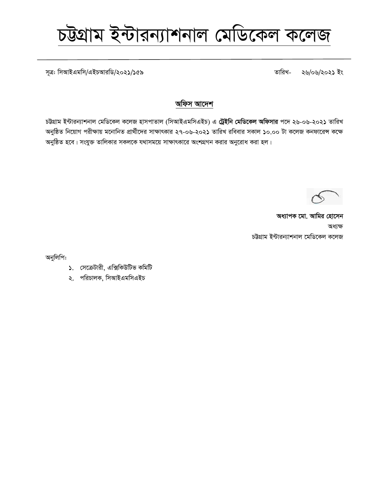*m~Î: wmAvBGgwm/GBPAviwW/2021/159 ZvwiL- 26/06/2021 Bs*

### অফিস আদেশ

*চ*ট্টগ্রাম ইন্টারন্যাশনাল মেডিকেল কলেজ হাসপাতাল (সিআইএমসিএইচ) এ **ট্রেইনি মেডিকেল অফিসার** পদে ২৬-০৬-২০২১ তারিখ *অনুষ্ঠিত নিয়োগ পরীক্ষায় মনোনিত প্রার্থীদের সাক্ষাৎকার ২৭-০৬-২০২১ তারিখ রবিবার সকাল ১০.০০ টা কলেজ কনফারেন্স কক্ষে*  $\sqrt{2\pi}$  হবে। সংযুক্ত তালিকার সকলকে যথাসময়ে সাক্ষাৎকারে অংশগ্রগন করার অনুরোধ করা হল।

*অধ্যাপক মো. আমির হোসেন* অধ্যক্ষ *চ*ট্টগ্রাম ইন্টারন্যাশনাল মেডিকেল কলেজ

অনুলিপি:

- *1. †m‡µUvix, Gw·wKDwUf KwgwU*
- $\lambda$ . পরিচালক, সিআইএমসিএইচ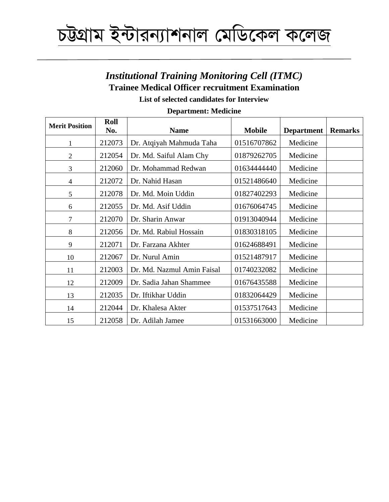## *Institutional Training Monitoring Cell (ITMC)* **Trainee Medical Officer recruitment Examination**

**List of selected candidates for Interview**

| <b>Merit Position</b> | Roll<br>No. | <b>Name</b>                | <b>Mobile</b> | <b>Department</b> | <b>Remarks</b> |
|-----------------------|-------------|----------------------------|---------------|-------------------|----------------|
|                       | 212073      | Dr. Atqiyah Mahmuda Taha   | 01516707862   | Medicine          |                |
| $\overline{2}$        | 212054      | Dr. Md. Saiful Alam Chy    | 01879262705   | Medicine          |                |
| 3                     | 212060      | Dr. Mohammad Redwan        | 01634444440   | Medicine          |                |
| 4                     | 212072      | Dr. Nahid Hasan            | 01521486640   | Medicine          |                |
| 5                     | 212078      | Dr. Md. Moin Uddin         | 01827402293   | Medicine          |                |
| 6                     | 212055      | Dr. Md. Asif Uddin         | 01676064745   | Medicine          |                |
| $\overline{7}$        | 212070      | Dr. Sharin Anwar           | 01913040944   | Medicine          |                |
| 8                     | 212056      | Dr. Md. Rabiul Hossain     | 01830318105   | Medicine          |                |
| 9                     | 212071      | Dr. Farzana Akhter         | 01624688491   | Medicine          |                |
| 10                    | 212067      | Dr. Nurul Amin             | 01521487917   | Medicine          |                |
| 11                    | 212003      | Dr. Md. Nazmul Amin Faisal | 01740232082   | Medicine          |                |
| 12                    | 212009      | Dr. Sadia Jahan Shammee    | 01676435588   | Medicine          |                |
| 13                    | 212035      | Dr. Iftikhar Uddin         | 01832064429   | Medicine          |                |
| 14                    | 212044      | Dr. Khalesa Akter          | 01537517643   | Medicine          |                |
| 15                    | 212058      | Dr. Adilah Jamee           | 01531663000   | Medicine          |                |

### **Department: Medicine**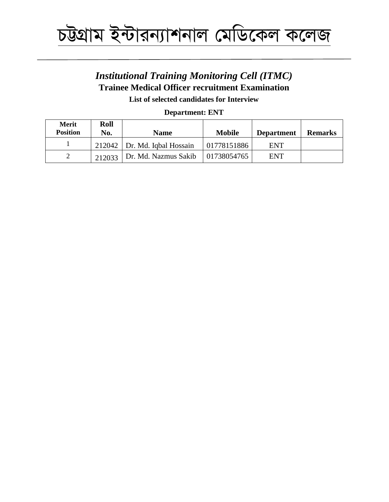

## *Institutional Training Monitoring Cell (ITMC)* **Trainee Medical Officer recruitment Examination**

**List of selected candidates for Interview**

### **Department: ENT**

| <b>Merit</b><br><b>Position</b> | Roll<br>No. | <b>Name</b>                    | <b>Mobile</b> | <b>Department</b> | <b>Remarks</b> |
|---------------------------------|-------------|--------------------------------|---------------|-------------------|----------------|
|                                 |             | $212042$ Dr. Md. Igbal Hossain | 01778151886   | ENT               |                |
|                                 | 212033      | Dr. Md. Nazmus Sakib           | 01738054765   | ENT               |                |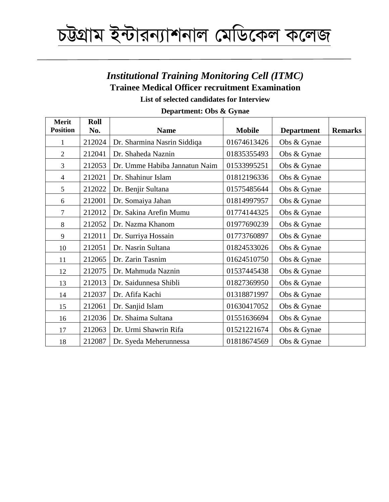## *Institutional Training Monitoring Cell (ITMC)* **Trainee Medical Officer recruitment Examination**

**List of selected candidates for Interview**

| <b>Merit</b><br><b>Position</b> | Roll<br>No. | <b>Name</b>                   | <b>Mobile</b> | <b>Department</b> | <b>Remarks</b> |
|---------------------------------|-------------|-------------------------------|---------------|-------------------|----------------|
| 1                               | 212024      | Dr. Sharmina Nasrin Siddiqa   | 01674613426   | Obs & Gynae       |                |
| $\overline{2}$                  | 212041      | Dr. Shaheda Naznin            | 01835355493   | Obs & Gynae       |                |
| 3                               | 212053      | Dr. Umme Habiba Jannatun Naim | 01533995251   | Obs & Gynae       |                |
| $\overline{\mathcal{L}}$        | 212021      | Dr. Shahinur Islam            | 01812196336   | Obs & Gynae       |                |
| 5                               | 212022      | Dr. Benjir Sultana            | 01575485644   | Obs & Gynae       |                |
| 6                               | 212001      | Dr. Somaiya Jahan             | 01814997957   | Obs & Gynae       |                |
| 7                               | 212012      | Dr. Sakina Arefin Mumu        | 01774144325   | Obs & Gynae       |                |
| 8                               | 212052      | Dr. Nazma Khanom              | 01977690239   | Obs & Gynae       |                |
| 9                               | 212011      | Dr. Surriya Hossain           | 01773760897   | Obs & Gynae       |                |
| 10                              | 212051      | Dr. Nasrin Sultana            | 01824533026   | Obs & Gynae       |                |
| 11                              | 212065      | Dr. Zarin Tasnim              | 01624510750   | Obs & Gynae       |                |
| 12                              | 212075      | Dr. Mahmuda Naznin            | 01537445438   | Obs & Gynae       |                |
| 13                              | 212013      | Dr. Saidunnesa Shibli         | 01827369950   | Obs & Gynae       |                |
| 14                              | 212037      | Dr. Afifa Kachi               | 01318871997   | Obs & Gynae       |                |
| 15                              | 212061      | Dr. Sanjid Islam              | 01630417052   | Obs & Gynae       |                |
| 16                              | 212036      | Dr. Shaima Sultana            | 01551636694   | Obs & Gynae       |                |
| 17                              | 212063      | Dr. Urmi Shawrin Rifa         | 01521221674   | Obs & Gynae       |                |
| 18                              | 212087      | Dr. Syeda Meherunnessa        | 01818674569   | Obs & Gynae       |                |

### **Department: Obs & Gynae**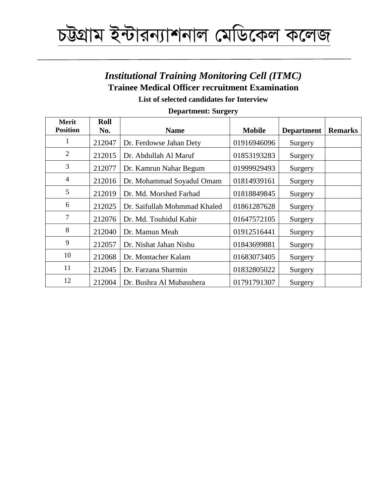## *Institutional Training Monitoring Cell (ITMC)* **Trainee Medical Officer recruitment Examination**

**List of selected candidates for Interview**

| <b>Merit</b><br><b>Position</b> | Roll<br>No. | <b>Name</b>                  | <b>Mobile</b> | <b>Department</b> | <b>Remarks</b> |
|---------------------------------|-------------|------------------------------|---------------|-------------------|----------------|
| 1                               | 212047      | Dr. Ferdowse Jahan Dety      | 01916946096   | Surgery           |                |
| $\overline{2}$                  | 212015      | Dr. Abdullah Al Maruf        | 01853193283   | Surgery           |                |
| 3                               | 212077      | Dr. Kamrun Nahar Begum       | 01999929493   | Surgery           |                |
| $\overline{4}$                  | 212016      | Dr. Mohammad Soyadul Omam    | 01814939161   | Surgery           |                |
| 5                               | 212019      | Dr. Md. Morshed Farhad       | 01818849845   | Surgery           |                |
| 6                               | 212025      | Dr. Saifullah Mohmmad Khaled | 01861287628   | Surgery           |                |
| 7                               | 212076      | Dr. Md. Touhidul Kabir       | 01647572105   | Surgery           |                |
| 8                               | 212040      | Dr. Mamun Meah               | 01912516441   | Surgery           |                |
| 9                               | 212057      | Dr. Nishat Jahan Nishu       | 01843699881   | Surgery           |                |
| 10                              | 212068      | Dr. Montacher Kalam          | 01683073405   | Surgery           |                |
| 11                              | 212045      | Dr. Farzana Sharmin          | 01832805022   | Surgery           |                |
| 12                              | 212004      | Dr. Bushra Al Mubasshera     | 01791791307   | Surgery           |                |

### **Department: Surgery**